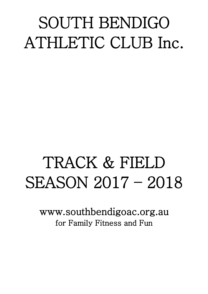# SOUTH BENDIGO ATHLETIC CLUB Inc.

# TRACK & FIELD SEASON 2017 – 2018

[www.southbendigoac.org.au](http://www.southbendigoac.org.au/)  for Family Fitness and Fun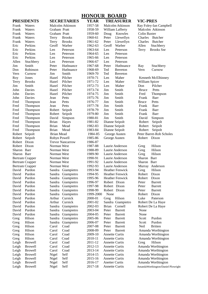## **HONOUR BOARD**

|                        | PRESIDENTS                       |                   | <b>SECRETARIES</b>      | <b>YEAR</b>        |                       | <b>TREASURER</b>       | <b>VIC-PRES</b> |                                    |
|------------------------|----------------------------------|-------------------|-------------------------|--------------------|-----------------------|------------------------|-----------------|------------------------------------|
| Frank                  | Waters                           |                   | Malcolm Atkinson        | 1957-58            |                       | Malcolm Atkinson       |                 | Ray Foley-Ian Campbell             |
| Frank                  | Waters                           | Graham Pratt      |                         | 1958-59            |                       | William Lafferty       |                 | Malcolm Atkinson                   |
| Frank                  | Waters                           | Graham Pratt      |                         | 1959-60            | Doug                  | Knowles                | Colin Baxter    |                                    |
| Frank                  | Waters                           | <b>Terry</b>      | <b>Brooks</b>           | 1960-61            | Peter                 | Llewellyn              | Charles         | Butcher                            |
| Frank                  | Waters                           | Terry             | <b>Brooks</b>           | 1961-62            | Peter                 | Llewellyn              | Charles         | <b>Butcher</b>                     |
| Eric                   | Perkins                          | Geoff             | Warber                  | 1962-63            | Geoff                 | Warber                 | Allen           | Stuchbery                          |
| Eric                   | Perkins                          | Len               | Peterson                | 1963-64            | Len                   | Peterson               | Terry           | <b>Brooks</b> Snr                  |
| Eric                   | Perkins                          | Len               | Peterson                | 1964-65            | Len                   | Peterson               |                 |                                    |
| Eric                   | Perkins                          | Len               | Peterson                | 1965-66            | Len                   | Peterson               |                 |                                    |
| Allen                  | Stuchbery                        | Len               | Peterson                | 1966-67            | Len                   | Peterson               |                 |                                    |
| Jim                    | Smith                            | Peter             | Huthnance               | 1967-68            | Peter                 | Huthnance              | Ray             | Stuchbery                          |
| Don                    | Robinson                         | Peter             | Huthnance               | 1968-69            | Ted                   | <b>B</b> rereton       | Vern            | Curnow                             |
| Vern                   | Curnow                           | Jim               | Smith                   | 1969-70            | Ted                   | <b>Brereton</b>        |                 |                                    |
| Roy                    | Jones                            | Hazel             | Pilcher                 | 1970-71            | Len                   | Maher                  |                 | Kenneth McElhinney                 |
| Terry                  | <b>Brooks</b>                    | Hazel             | Pilcher                 | 1971-72            | Len                   | Maher                  | William Spicer  |                                    |
| Jim                    | Smith                            | Hazel             | Pilcher                 | 1972-73            | Len                   | Maher                  | Don             | Pilcher                            |
| John                   | Davies                           | Hazel             | Pilcher                 | 1973-74            | Jim                   | Smith                  | <b>Bruce</b>    | Petts                              |
| John                   | Davies                           | Hazel             | Pilcher                 | 1974-75            | Jim                   | Smith                  | Fred            | Thompson                           |
| John                   | Davies                           | Jean              | Petts                   | 1975-76            | Jim                   | Smith                  | Frank           | Barr                               |
| Fred                   | Thompson                         | Jean              | Petts                   | 1976-77            | Jim                   | Smith                  | <b>Bruce</b>    | Petts                              |
| Fred                   | Thompson                         | Jean              | Petts                   | 1977-78            | Jim                   | Smith                  | Frank           | Barr                               |
| Fred                   | Thompson                         | Robert            | Seipolt                 | 1978-79            | Jim                   | Smith                  | Frank           | Barr                               |
| Fred                   | Thompson                         | Robert            | Seipolt                 | 1979-80            | Jim                   | Smith                  | Frank           | Barr                               |
| Fred                   | Thompson                         | David             | Simpson                 | 1980-81            | Jim                   | Smith                  | David           | Simpson                            |
| Fred                   | Thompson                         | Brian             | Hayes                   | 1981-82            | Dianne Seipolt        |                        | Robert          | Seipolt                            |
| Fred                   | Thompson                         | <b>Brian</b>      | Mead                    | 1982-83            | Dianne Seipolt        |                        | Robert          | Seipolt                            |
| Fred                   | Thompson                         | <b>Brian</b>      | Mead                    | 1983-84            | Dianne Seipolt        |                        | Robert          | Seipolt                            |
| Robert                 | Seipolt                          | <b>Brian Mead</b> |                         | 1984-85            |                       | George Austen          |                 | Peter Barret-Rob Scholes           |
| Robert<br>Robert Dixon | Seipolt                          | Robyn Powell      | <b>Trevor Nancarrow</b> | 1985-86            | George Austen         |                        | Robert          | Dixon                              |
| Robert Dixon           |                                  | Norman West       |                         | 1986-87<br>1987-88 |                       | Laurie Anderson        |                 | Hilson                             |
| Sharon Barr            |                                  | Norman West       |                         | 1988-89            |                       | Laurie Anderson        | Greg<br>Greg    | Hilson                             |
| Sharon Barr            |                                  | Norman West       |                         | 1989-90            |                       | Laurie Anderson        | Greg            | Hilson                             |
|                        | <b>Bertram Crapper</b>           | Norman West       |                         | 1990-91            |                       | Laurie Anderson        | Sharon          | Barr                               |
|                        | <b>Bertram Crapper</b>           | Norman West       |                         | 1991-92            |                       | Laurie Anderson        | Sharon Barr     |                                    |
|                        | <b>Bertram Crapper</b>           | Norman West       |                         | 1992-93            |                       | Laurie Anderson        | Murray          | Anderson                           |
| David                  | Purdon                           |                   | Sandra Giampietro       | 1993-94            |                       | <b>Heather Fenwick</b> | Greg            | Hilson                             |
| David                  | Purdon                           |                   | Sandra Giampietro       | 1994-95            |                       | <b>Heather Fenwick</b> | Robert          | Dixon                              |
| David                  | Purdon                           |                   | Sandra Giampietro       | 1995-96            |                       | <b>Heather Fenwick</b> | Robert          | Dixon                              |
| David                  | Purdon                           | Sandra            | Giampietro              | 1996-97            | Robert Dixon          |                        | Peter           | <b>Barrett</b>                     |
| David                  | Purdon                           | Sandra            | Giampietro              | 1997-98            | Robert Dixon          |                        | Peter           | <b>Barrett</b>                     |
| David                  | Purdon                           | Sandra            | Giampietro              | 1998-99            | Robert Dixon          |                        | Peter           | <b>Barrett</b>                     |
| David                  | Purdon                           | Sandra            | Giampietro              | 1999-2000          | None                  |                        | Robert          | Dixon                              |
| David                  | Purdon                           | Arthur            | Curnick                 | 2000-01            | Greg                  | Hilson                 | Luke            | Paterson                           |
| David                  | Purdon                           | Arthur            | Curnick                 | 2001-02            |                       | Sandra Giampietro      |                 | Robert De La Haye                  |
| David                  | Purdon                           | Sandra            | Giampietro              | 2002-03            | <b>Brian</b>          | Cornell                |                 | Robert De La Haye                  |
| David                  | Purdon                           | Sandra            | Giampietro              | 2003-04            | Peter                 | <b>Barrett</b>         | None            |                                    |
| David                  | Purdon                           | Sandra            | Giampietro              | 2004-05            | Peter                 | <b>Barrett</b>         | None            |                                    |
| Greg                   | Hilson                           | Sandra            | Giampietro              | 2005-06            | Peter                 | <b>Barrett</b>         | Scott           | Purdon                             |
| Greg                   | Hilson                           | Sandra            | Giampietro              | 2006-07            | Peter                 | <b>Barrett</b>         | Scott           | Purdon                             |
| Greg                   | Hilson                           | Carol             | Coad                    | 2007-08            | Peter                 | <b>Barrett</b>         | Neil            | <b>Britten</b>                     |
| Greg                   | Hilson                           | Carol             | Coad                    | 2008-09            | Peter                 | <b>Barrett</b>         |                 | Amanda Worthington                 |
| Greg                   | Hilson                           | Carol             | Coad                    | 2009-10            | Annette Curtis        |                        |                 | Amanda Worthington                 |
| Greg                   | Hilson                           | Carol             | Coad                    | 2010-11            | Annette Curtis        |                        |                 | Amanda Worthington                 |
| Leigh                  | <b>Browell</b>                   | Carol             | Coad                    | 2011-12            | Annette Curtis        |                        | Greg            | Hilson                             |
| Leigh                  | <b>Browell</b>                   | Carol             | Coad                    | 2012-13            | Annette Curtis        |                        |                 | Amanda Worthington                 |
| Leigh                  | <b>Browell</b>                   | Carol             | Coad                    | 2013-14            | Annette Curtis        |                        |                 | Amanda Worthington                 |
| Leigh                  | <b>Browell</b>                   | Nigel             | Self                    | 2014-15            | Annette Curtis        |                        |                 | Amanda Worthington                 |
| Leigh                  | <b>Browell</b><br><b>Browell</b> | Nigel             | Self                    | 2015-16<br>2016-17 | <b>Annette Curtis</b> |                        |                 | Amanda Worthington                 |
| Leigh<br>Leigh         | <b>Browell</b>                   | Nigel             | Self<br>Self            | 2017-18            | <b>Anetter Curtis</b> |                        |                 | Amanda Worthington                 |
|                        |                                  | Nigel             |                         |                    | <b>Annette Curtis</b> |                        |                 | AmandaWorthington/Daniel Plowright |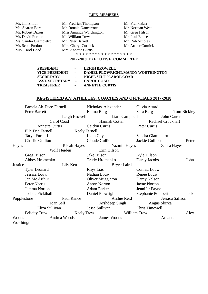#### **LIFE MEMBERS**

| Mr. Jim Smith                                      |  |
|----------------------------------------------------|--|
| Ms. Sharon Barr                                    |  |
| Mr. Robert Dixon                                   |  |
| Mr. David Purdon                                   |  |
| Ms. Sandra Giampietro                              |  |
| Mr. Scott Purdon                                   |  |
| $M_{\text{rel}}$ $C_{\text{ord}}$ $C_{\text{ord}}$ |  |

 Mr. Jim Smith Mr. Fredrick Thompson Mr. Frank Barr Mr. Ronald Nancarrow Mr. Norman West Miss Amanda Worthington Mr. Greg Hilson<br>Mr. William Trew Mr. Paul Rance Mr. William Trew Mr. Paul Rance<br>Mr. Peter Barrett Mr. Rob Scholes Mr. Peter Barrett<br>
Mr. Rob Scholes<br>
Mr. Arthur Curnick<br>
Mr. Arthur Curnick Mrs. Cheryl Curnick Mrs. Carol Coad Mrs. Annette Curtis \* \* \* \* \* \* \* \* \* \* \* \* \* \* \* \* \* \*

### **2017-2018 EXECUTIVE COMMITTEE**

#### **PRESIDENT - LEIGH BROWELL VICE PRESIDENT - DANIEL PLOWRIGHT/MANDY WORTHINGTON SECRETARY - NIGEL SELF / CAROL COAD ASST. SECRETARY - CAROL COAD TREASURER - ANNETTE CURTIS**

#### **REGISTERED A.V. ATHLETES, COACHES AND OFFICIALS 2017-2018**

|             | Pamela Ah-Dore-Farnell |                     | Nicholas Alexander  |                     | Olivia Attard     |                          |             |
|-------------|------------------------|---------------------|---------------------|---------------------|-------------------|--------------------------|-------------|
|             | Peter Barrett          |                     | Emma Berg           |                     | Sara Berg         |                          | Tom Bickley |
|             |                        | Leigh Browell       | Liam Campbell       |                     |                   | John Carter              |             |
|             |                        | Carol Coad          | Hannah Cotter       |                     |                   | <b>Rachael Crockhart</b> |             |
|             | <b>Annette Curtis</b>  |                     | Caitlyn Curtis      |                     | Peter Curtis      |                          |             |
|             | Elle Dee Farnell       |                     | Keely Farnell       |                     |                   |                          |             |
|             | Taryn Furletti         |                     | Liam Gay            |                     | Sandra Giampietro |                          |             |
|             | Charlie Gulliou        |                     | Claude Gulliou      |                     | Jackie Gulliou    |                          | Peter       |
| Hayes       |                        | <b>Teleah Hayes</b> |                     | <b>Yazmin Hayes</b> |                   | Zahra Hayes              |             |
|             |                        | Wolf Heiden         | Erin Hilson         |                     |                   |                          |             |
|             | Greg Hilson            |                     | Jake Hilson         |                     | Kyle Hilson       |                          |             |
|             | Abbey Hromenko         |                     | Trudy Hromenko      |                     | Darcy Jacobs      |                          | John        |
| Justice     |                        | Lily Kettle         |                     | <b>Bryce Laird</b>  |                   |                          |             |
|             | <b>Tyler Leonard</b>   |                     | <b>Rhys Lias</b>    |                     | Conrad Louw       |                          |             |
|             | Jessica Louw           |                     | Nathan Louw         |                     | Renee Louw        |                          |             |
|             | Jen Mc Arthur          |                     | Oliver Muggleton    |                     | Darcy Nelson      |                          |             |
|             | Peter Norris           |                     | <b>Aaron Norton</b> |                     | Jayne Norton      |                          |             |
|             | Jemma Norton           |                     | <b>Adam Parker</b>  |                     | Jennifer Payne    |                          |             |
|             | Joshua Pickthall       |                     | Daniel Plowright    |                     | Stephanie Pompeii |                          | Jack        |
| Popplestone |                        | Paul Rance          |                     | Archie Reid         |                   | Jessica Saffron          |             |
|             | Joan Self              |                     | Arshdeep Singh      |                     | Angus Skirka      |                          |             |
|             | Eliza Sullivan         |                     | Jesse Sullivan      |                     | Chris Timewell    |                          |             |
|             | <b>Felicity Trew</b>   | Keely Trew          |                     | William Trew        |                   |                          | Alex        |
| Woods       |                        | Andrea Woods        | James Woods         |                     |                   | Amanda                   |             |
| Worthington |                        |                     |                     |                     |                   |                          |             |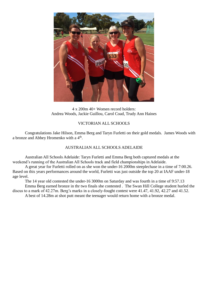

4 x 200m 40+ Women record holders: Andrea Woods, Jackie Guillou, Carol Coad, Trudy Ann Haines

#### VICTORIAN ALL SCHOOLS

Congratulations Jake Hilson, Emma Berg and Taryn Furletti on their gold medals. James Woods with a bronze and Abbey Hromenko with a 4<sup>th</sup>.

#### AUSTRALIAN ALL SCHOOLS ADELAIDE

Australian All Schools Adelaide: Taryn Furletti and Emma Berg both captured medals at the weekend's running of the Australian All Schools track and field championships in Adelaide.

A great year for Furletti rolled on as she won the under-16 2000m steeplechase in a time of 7:00.26. Based on this years performances around the world, Furletti was just outside the top 20 at IAAF under-18 age level.

The 14 year old contested the under-16 3000m on Saturday and was fourth in a time of 9:57.13

Emma Berg earned bronze in thr two finals she contested . The Swan Hill College student hurled the discus to a mark of 42.27m. Berg's marks in a closely-fought contest were 41.47, 41.92, 42.27 and 41.52.

A best of 14.28m at shot putt meant the teenager would return home with a bronze medal.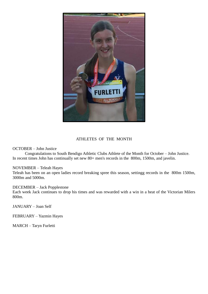

### ATHLETES OF THE MONTH

#### OCTOBER – John Justice

Congratulations to South Bendigo Athletic Clubs Athlete of the Month for October – John Justice. In recent times John has continually set new 80+ men's records in the 800m, 1500m, and javelin.

#### NOVEMBER – Teleah Hayes

Teleah has been on an open ladies record breaking spree this season, settingg records in the 800m 1500m, 3000m and 5000m.

#### DECEMBER – Jack Popplestone

Each week Jack continues to drop his times and was rewarded with a win in a heat of the Victorian Milers 800m.

JANUARY – Joan Self

FEBRUARY – Yazmin Hayes

MARCH – Taryn Furletti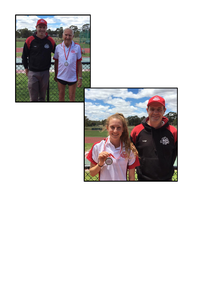

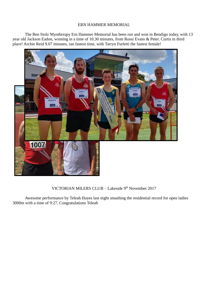#### ERN HAMMER MEMORIAL

The Ben Stolz Myotherapy Ern Hammer Memorial has been run and won in Bendigo today, with 13 year old Jackson Eadon, winning in a time of 10.30 minutes, from Rossi Evans & Peter. Curtis in third place[! Archie Reid](https://www.facebook.com/archie.reid.370?fref=gs&dti=196567873148&hc_location=group) 9.07 minutes, ran fastest time, with Tarryn Furletti the fastest female!



VICTORIAN MILERS CLUB – Lakeside 9th November 2017

Awesome performance by [Teleah Hayes](https://www.facebook.com/teleah.hayes.3?fref=gs&dti=196567873148&hc_location=group) last night smashing the residential record for open ladies 3000m with a time of 9:27, Congratulations Teleah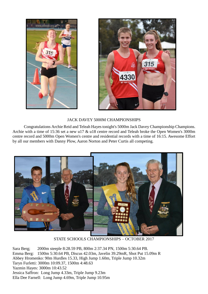



#### JACK DAVEY 5000M CHAMPIONSHIPS

Congratulations [Archie Reid](https://www.facebook.com/archie.reid.370?fref=gs&dti=196567873148&hc_location=group) and [Teleah Hayes](https://www.facebook.com/teleah.hayes.3?fref=gs&dti=196567873148&hc_location=group) tonight's 5000m Jack Davey Championship Champions. Archie with a time of 15:36 set a new u17 & u18 centre record and Teleah broke the Open Women's 3000m centre record and 5000m Open Women's centre and residential records with a time of 16:15. Awesome Effort by all our members with [Danny Plow,](https://www.facebook.com/daniel.plowright.75?fref=gs&dti=196567873148&hc_location=group) [Aaron Norton](https://www.facebook.com/aaron.norton.560?fref=gs&dti=196567873148&hc_location=group) and [Peter Curtis](https://www.facebook.com/peter.curtis.7739?fref=gs&dti=196567873148&hc_location=group) all competing.



STATE SCHOOLS CHAMPIONSHIPS – OCTOBER 2017

Sara Berg; 2000m steeple 8:28.59 PB, 800m 2:37.34 PN, 1500m 5:30.64 PB. Emma Berg: 1500m 5:30.64 PB, Discus 42.03m, Javelin 39.29mR, Shot Put 15.09m R Abbey Hromenko: 90m Hurdles 15.33, High Jump 1.60m, Triple Jump 10.32m Taryn Furletti: 3000m 10:09.37, 1500m 4:48.63 Yazmin Hayes: 3000m 10:43.52 Jessica Saffron: Long Jump 4.33m, Triple Jump 9.23m Ella Dee Farnell: Long Jump 4.69m, Triple Jump 10.95m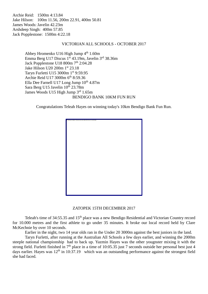Archie Reid: 1500m 4:13.84 Jake Hilson: 100m 11.56, 200m 22.91, 400m 50.81 James Woods: Javelin 42.23m Arshdeep Singh: 400m 57.85 Jack Popplestone: 1500m 4:22.18

#### VICTORIAN ALL SCHOOLS - OCTOBER 2017

Abbey Hromenko U16 High Jump  $4<sup>th</sup> 1.60m$ Emma Berg U17 Discus  $1<sup>st</sup> 43.19m$ , Javelin  $3<sup>rd</sup> 38.36m$ Jack Popplestone U18 800m 7<sup>th</sup> 2:04.28 Jake Hilson U20 200m 1st 23.18 Taryn Furletti U15 3000m 1st 9:59.95 Archie Reid U17 3000m 6th 8:59.36 Ella Dee Farnell U17 Long Jump  $10^{th}$  4.87m Sara Berg U15 Javelin  $10^{th}$  23.78m James Woods U15 High Jump 3rd 1.65m BENDIGO BANK 10KM FUN RUN

Congratulations [Teleah Hayes](https://www.facebook.com/teleah.hayes.3?fref=gs&dti=196567873148&hc_location=group) on winning today's 10km Bendigo Bank Fun Run.



ZATOPEK 15TH DECEMBER 2017

Teleah's time of 34:55.35 and 15<sup>th</sup> place was a new Bendigo Residential and Victorian Country record for 10.000 metres and the first athlete to go under 35 minutes. It broke our local record held by Clare McKechnie by over 10 seconds.

Earlier in the night, two 14 year olds ran in the Under 20 3000m against the best juniors in the land.

Taryn Furletti, after running at the Australian All Schools a few days earlier, and winning the 2000m steeple national championship had to back up. Yazmin Hayes was the other yougnster mixing it with the strong field. Furletti finished in 7<sup>th</sup> place in a time of 10:05.35 just 7 seconds outside her personal best just 4 days earlier. Hayes was  $12<sup>th</sup>$  in  $10:37.19$  which was an outstanding performance against the strongest field she had faced.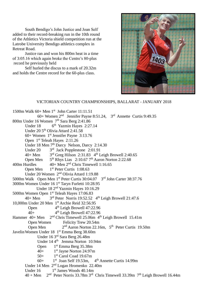South Bendigo's John Justice and Joan Self added to their record-breaking run in the 10th round of the Athletics Victoria shield competition run at the Latrobe University Bendigo athletics complex in Retreat Road.

Justice ran and won his 800m heat in a time of 3:05.16 which again broke the Centre's 80-plus record he previously held

Self hurled the discus to a mark of 20.32m and holds the Centre record for the 60-plus class.



#### VICTORIAN COUNTRY CHAMPIONSHIPS, BALLARAT - JANUARY 2018

1500m Walk 60+ Men 1st John Carter 11:11.51 60+ Women 2nd Jennifer Payne 8:51.24, 3 rd Annette Curtis 9:49.35 800m Under 16 Women 7th Sara Berg 2:41.86 Under 18 th Yazmin Hayes 2:27.14 Under 20 5<sup>th</sup> Olivia Attard 2:41.58 60+ Women 1st Jennifer Payne 3:13.76 Open 1st Teleah Hayes 2:11.26 Under 18 Men 7<sup>th</sup> Darcy Nelson, Darcy 2:14.30 Under  $20$ <sup>rd</sup> Jack Popplestone 2:01.91  $40+$  Men  $3<sup>rd</sup>$  Greg Hilson 2:31.83  $4<sup>th</sup>$  Leigh Browell 2:40.65 Open Men  $5<sup>th</sup>$  Rhys Lias 2:10.67 7<sup>th</sup> Aaron Norton 2:22.68 400m Hurdles 40+ Men 2nd Chris Timewell 1:16.65 Open Men 1 1<sup>st</sup> Peter Curtis 1:08.63 Under 20 Women 2nd Olivia Attard 1:19.88 5000m Walk Open Men 1<sup>st</sup> Peter Curtis 30:04.07 3<sup>rd</sup> John Carter 38:37.76 3000m Women Under 16 1st Taryn Furletti 10:28.95 Under 18 2nd Yazmin Hayes 10:16.29 5000m Women Open 1<sup>st</sup> Teleah Hayes 17:06.83  $40+$  Men  $3<sup>rd</sup>$  Peter Norris 19:52.52  $4<sup>th</sup>$  Leigh Browell 21:47.6 10,000m Under 20 Men 1st Archie Reid 32:56.95 Open 1  $4<sup>th</sup>$  Leigh Browell 47:22.96  $40+$  $4<sup>th</sup>$  Leigh Browell 47:22.96 Hammer  $40+$  Men  $2<sup>nd</sup>$  Chris Timewell 25.06m  $4<sup>th</sup>$  Leigh Browell 15.41m Open Women Felicity Trew 20.54m Open Men nd Aaron Norton 22.16m, 5<sup>th</sup> Peter Curtis 19.50m JavelinWomen Under 18 1st Emma Berg 38.60m Under 16 3rd Sara Berg 26.48m Under 14 4<sup>th</sup> Jemma Norton 10.94m **Open** 1<sup>st</sup> Emma Berg 35.38m  $40+$ 1<sup>st</sup> Jayne Norton 24.97m  $50+$  $1<sup>st</sup>$  Carol Coad 19.67m  $60+$  $1<sup>st</sup>$  Joan Self 19.53m, 4<sup>th</sup> Annette Curtis 14.99m Under 14 Men 2nd Logan Hromenko 22.40m Under  $16 \qquad 1^{st}$  James Woods  $40.14$ m  $40 +$ Men Peter Norris 33.78m 3<sup>rd</sup> Chris Timewell 33.39m 7<sup>th</sup> Leigh Browell 16.44m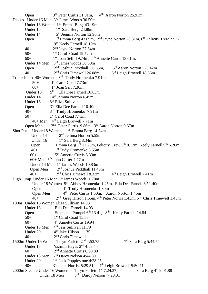Open 3  $3<sup>rd</sup>$  Peter Curtis 31.01m, <sup>th</sup> Aaron Norton 25.91m Discus Under 16 Men 3rd James Woods 30.50m Under 18 Women 1st Emma Berg 43.19m Under 16 st Sara Berg 24.86m Under 14 5<sup>th</sup> Jemma Norton 12.90m **Open** 1<sup>st</sup> Emma Berg 43.09m, 2<sup>nd</sup> Jayne Norton 28.31m, 6<sup>th</sup> Felicity Trew 22.37, 9<sup>th</sup> Keely Farnell 18.10m  $40+$  $2<sup>nd</sup>$  Jayne Norton 27.64m  $50+$ 1<sup>st</sup> Carol Coad 19.72m  $60+$  $1<sup>st</sup>$  Joan Self 19.74m,  $5<sup>th</sup>$  Annette Curtis 13.61m, Under 14 Men 3rd James woods 30.50m Open <sup>nd</sup> Joshua Pickthall 36.65m, 5 5<sup>th</sup> Aaron Norton 23.42m  $40+$  $2<sup>nd</sup>$  Chris Timewell 26.08m,  $5<sup>th</sup>$  Leigh Browell 18.86m Triple Jump 40+ Women 3<sup>rd</sup> Trudy Hromenko 7.91m 50+ 1st Carol Coad 7.73m  $60 + 1$ <sup>st</sup> Joan Self 7.36m Under  $18$  Ella Dee Farnell 10.63m Under 14 14<sup>th</sup> Jemma Norton 6.45m Under 16 8<sup>th</sup> Eliza Sullivan **Open** 3<sup>rd</sup> Ella Dee Farnell 10.40m  $40+$ <sup>rd</sup> Trudy Hromenko 7.91m  $50+$ 1<sup>st</sup> Carol Coad 7.73m  $40+$  Men  $4<sup>th</sup>$  Leigh Browell 7.71m Open Men 2<sup>nd</sup> Peter Curtis 9.86m 3<sup>rd</sup> Aaron Norton 9.67m Shot Put Under 18 Women  $1<sup>st</sup>$  Emma Berg 14.74m Under 14  $2<sup>nd</sup>$  Jemma Norton 5.55m Under 16  $1<sup>st</sup>$  Sara Berg 8.34m Open Emma Berg 1st 12.25m, Felicity Trew 5th 8.12m, Keely Farnell 9th 6.26m  $40+$ 1<sup>st</sup> Tudy Hromenko 8.55m  $60+$  $5<sup>th</sup>$  Annette Curtis 5.33m  $60+$  Men  $5<sup>th</sup>$  John Carter 4.77m Under 14 Men 1st James Woods 10.83m Open Men  $2<sup>nd</sup>$  Joshua Pickthall 11.45m  $40+$  $2<sup>nd</sup>$  Chris Timewell 8.33m,  $4<sup>th</sup>$  Leigh Browell 7.41m High Jump Under 16 Men 1<sup>st</sup> James Woods 1.70m Under 18 Women 5<sup>th</sup> Abbey Hromenko 1.45m. Ella Dee Farnell 6<sup>th</sup> 1.40m **Open** 1<sup>st</sup> Trudy Hromenko 1.30m Open Men th Peter Curtis 1.50m, Aaron Norton 1.45m  $40+$ <sup>nd</sup> Greg Hilson 1.55m, 4<sup>th</sup> Peter Norris 1.45m, 5<sup>th</sup> Chris Timewell 1.45m 100m Under 16 Women Eliza Sullivan 14.98 Under 18 Ella Dee Farnell 14.03 Open Stephanie Pompei 6<sup>th</sup> 13.41, 8<sup>th</sup> Keely Farnell 14.84  $50+$ 1<sup>st</sup> Carol Coad 15.83  $60+$ 4<sup>th</sup> Annette Curtis 19.94 Under 18 Men 4<sup>th</sup> Jess Sullivan 11.79 Under  $20<sub>1</sub>$  $4<sup>th</sup>$  Jake Hilson 11.35  $40+$  $2<sup>nd</sup>$  Chris Timewell 1500m Under 16 Women Taryn Furletti 2nd 4:53.75 7  $7<sup>th</sup>$  Sara Berg 5:44.54 Under 18 Yazmin Hayes  $2<sup>nd</sup> 4:53.44$  $60+$ 2<sup>nd</sup> Annette Curtis 8:30.80 Under 18 Men 7<sup>th</sup> Darcy Nelson 4:44.89 Under 20 st Jack Popplestone 4:28.25  $40+$ <sup>rd</sup> Peter Norris 5:29.51,  $4<sup>th</sup>$  Leigh Browell 5:50.71 2000m Steeple Under 16 Women Taryn Furletti 1<sup>st</sup> 7:24.37, Sara Berg 4<sup>th</sup> 9:01.88 Under 18 Men <sup>rd</sup> Darcy Nelson 7:20.31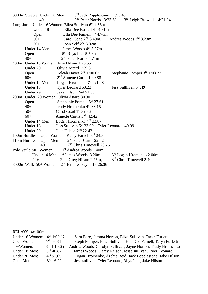| 3000m Steeple Under 20 Men                                           | 3rd Jack Popplestone 11:55.48          |                                      |  |
|----------------------------------------------------------------------|----------------------------------------|--------------------------------------|--|
| $40+$                                                                | $2nd$ Peter Norris 13:23.68,           | $3rd$ Leigh Browell 14:21.94         |  |
| Long Jump Under 16 Women Eliza Sullivan 6th 4.36m                    |                                        |                                      |  |
| Under 18                                                             | Ella Dee Farnell 4 <sup>th</sup> 4.91m |                                      |  |
| Open                                                                 | Ella Dee Farnell 4 <sup>th</sup> 4.76m |                                      |  |
| $50+$                                                                | Carol Coad 2 <sup>nd</sup> 3.49m,      | Andrea Woods 3rd 3.23m               |  |
| $60+$                                                                | Joan Self $2nd$ 3.32m                  |                                      |  |
| Under 14 Men                                                         | James Woods $4th 5.27m$                |                                      |  |
| Open                                                                 | 5 <sup>th</sup> Rhys Lias 5.50m        |                                      |  |
| $40+$                                                                | $2nd$ Peter Norris 4.71m               |                                      |  |
| 400m Under 18 Women Erin Hilson 1:26.55                              |                                        |                                      |  |
| Under 20                                                             | Olivia Attard 1:09.31                  |                                      |  |
| Open                                                                 | Teleah Hayes $2nd 1:00.63$ ,           | Stephanie Pompei 3rd 1:03.23         |  |
| $60+$                                                                | 2 <sup>nd</sup> Annette Curtis 1:49.88 |                                      |  |
| Under 14 Men                                                         | Logan Hromenko 7 <sup>th</sup> 1:14.84 |                                      |  |
| Under 18                                                             | Tyler Leonard 53.23                    | Jess Sulllivan 54.49                 |  |
| Under 29                                                             | Jake Hilson 2nd 51.36                  |                                      |  |
| 200m Under 20 Women Olivia Attard 30.30                              |                                        |                                      |  |
| Open                                                                 | Stephanie Pompei 5 <sup>th</sup> 27.61 |                                      |  |
| $40+$                                                                | Trudy Hromenko 4 <sup>th</sup> 33.15   |                                      |  |
| $50+$                                                                | Carol Coad 1st 32.76                   |                                      |  |
| $60+$                                                                | Annette Curtis 3rd 42.42               |                                      |  |
| Under 14 Men                                                         | Logan Hromenko $4th$ 32.87             |                                      |  |
| Jess Sullivan 5 <sup>th</sup> 23.99, Tyler Leonard 40.09<br>Under 18 |                                        |                                      |  |
| Under 20                                                             | Jake Hilson $2nd 22.42$                |                                      |  |
| 100m Hurdles Open Women Keely Farnell 3rd 24.35                      |                                        |                                      |  |
| 2 <sup>nd</sup> Peter Curtis 22.52<br>110m Hurdles<br>Open Men       |                                        |                                      |  |
| $40+$                                                                | $2nd$ Chris Timewell 23.76             |                                      |  |
| Pole Vault 50+ Women 1 <sup>st</sup> Andrea Woods 1.40m              |                                        |                                      |  |
| Under 14 Men $1st$ James Woods 3.20m                                 |                                        | 3 <sup>rd</sup> Logan Hromenko 2.00m |  |
| $40+$                                                                | 2md Greg Hilson 2.75m,                 | 3 <sup>rd</sup> Chris Timewell 2.40m |  |
| 3000m Walk 50+ Women<br>$2nd$ Jennifer Payne 18:26.36                |                                        |                                      |  |

| RELAYS: 4x100m                           |                                                                |
|------------------------------------------|----------------------------------------------------------------|
| Under 16 Women; $-4^{\text{th}}$ 1:00.12 | Sara Berg, Jemma Norton, Eliza Sullivan, Taryn Furletti        |
| 7 <sup>th</sup> 58.34<br>Open Women:     | Steph Pompei, Eliza Sullivan, Ella Dee Farnell, Taryn Furletti |
| 3 <sup>rd</sup> 1:10.65<br>40+Women:     | Andrea Woods, Carolyn Sullivan, Jayne Norton, Trudy Hromenko   |
| $3^{\rm rd} 46.87$<br>Under 18 Men:      | James Woods, Darcy Nelson, Jesse sullivan, Tyler Leonard       |
| $4^{th}$ 51.65<br>Under 20 Men:          | Logan Hromenko, Archie Reid, Jack Popplestone, Jake Hilson     |
| 3 <sup>rd</sup> 46.22<br>Open Men:       | Jess sullivan, Tyler Leonard, Rhys Lias, Jake Hilson           |